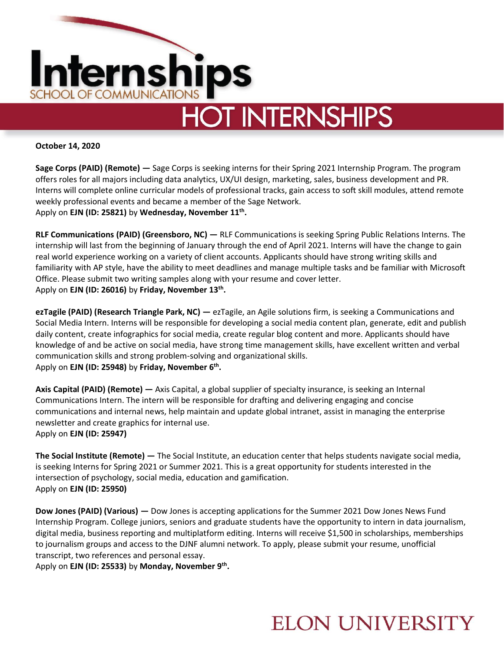

**HOT INTERNSHIPS** 

**October 14, 2020**

**Sage Corps (PAID) (Remote) —** Sage Corps is seeking interns for their Spring 2021 Internship Program. The program offers roles for all majors including data analytics, UX/UI design, marketing, sales, business development and PR. Interns will complete online curricular models of professional tracks, gain access to soft skill modules, attend remote weekly professional events and became a member of the Sage Network. Apply on **EJN (ID: 25821)** by **Wednesday, November 11th .**

**RLF Communications (PAID) (Greensboro, NC) —** RLF Communications is seeking Spring Public Relations Interns. The internship will last from the beginning of January through the end of April 2021. Interns will have the change to gain real world experience working on a variety of client accounts. Applicants should have strong writing skills and familiarity with AP style, have the ability to meet deadlines and manage multiple tasks and be familiar with Microsoft Office. Please submit two writing samples along with your resume and cover letter. Apply on **EJN (ID: 26016)** by **Friday, November 13th .**

**ezTagile (PAID) (Research Triangle Park, NC) —** ezTagile, an Agile solutions firm, is seeking a Communications and Social Media Intern. Interns will be responsible for developing a social media content plan, generate, edit and publish daily content, create infographics for social media, create regular blog content and more. Applicants should have knowledge of and be active on social media, have strong time management skills, have excellent written and verbal communication skills and strong problem-solving and organizational skills. Apply on **EJN (ID: 25948)** by **Friday, November 6th .**

**Axis Capital (PAID) (Remote) —** Axis Capital, a global supplier of specialty insurance, is seeking an Internal Communications Intern. The intern will be responsible for drafting and delivering engaging and concise communications and internal news, help maintain and update global intranet, assist in managing the enterprise newsletter and create graphics for internal use. Apply on **EJN (ID: 25947)** 

**The Social Institute (Remote) —** The Social Institute, an education center that helps students navigate social media, is seeking Interns for Spring 2021 or Summer 2021. This is a great opportunity for students interested in the intersection of psychology, social media, education and gamification. Apply on **EJN (ID: 25950)** 

**Dow Jones (PAID) (Various) —** Dow Jones is accepting applications for the Summer 2021 Dow Jones News Fund Internship Program. College juniors, seniors and graduate students have the opportunity to intern in data journalism, digital media, business reporting and multiplatform editing. Interns will receive \$1,500 in scholarships, memberships to journalism groups and access to the DJNF alumni network. To apply, please submit your resume, unofficial transcript, two references and personal essay.

Apply on **EJN (ID: 25533)** by **Monday, November 9th .** 

## **ELON UNIVERSITY**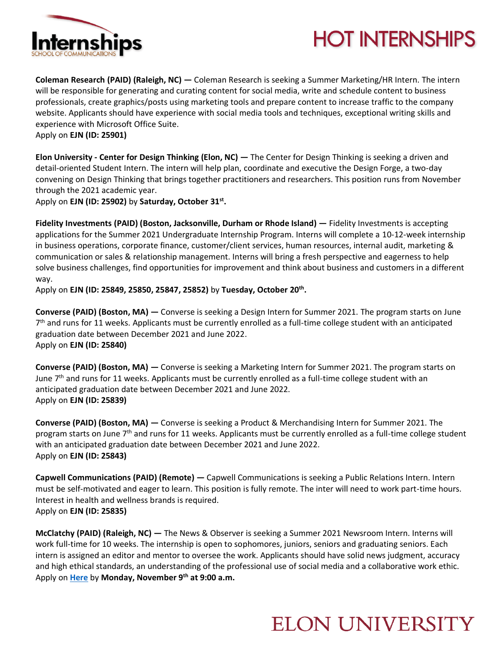



**Coleman Research (PAID) (Raleigh, NC) —** Coleman Research is seeking a Summer Marketing/HR Intern. The intern will be responsible for generating and curating content for social media, write and schedule content to business professionals, create graphics/posts using marketing tools and prepare content to increase traffic to the company website. Applicants should have experience with social media tools and techniques, exceptional writing skills and experience with Microsoft Office Suite. Apply on **EJN (ID: 25901)** 

**Elon University - Center for Design Thinking (Elon, NC) —** The Center for Design Thinking is seeking a driven and detail-oriented Student Intern. The intern will help plan, coordinate and executive the Design Forge, a two-day convening on Design Thinking that brings together practitioners and researchers. This position runs from November

through the 2021 academic year. Apply on **EJN (ID: 25902)** by **Saturday, October 31st .**

**Fidelity Investments (PAID) (Boston, Jacksonville, Durham or Rhode Island) —** Fidelity Investments is accepting applications for the Summer 2021 Undergraduate Internship Program. Interns will complete a 10-12-week internship in business operations, corporate finance, customer/client services, human resources, internal audit, marketing & communication or sales & relationship management. Interns will bring a fresh perspective and eagerness to help solve business challenges, find opportunities for improvement and think about business and customers in a different way.

Apply on **EJN (ID: 25849, 25850, 25847, 25852)** by **Tuesday, October 20th .** 

**Converse (PAID) (Boston, MA) —** Converse is seeking a Design Intern for Summer 2021. The program starts on June 7<sup>th</sup> and runs for 11 weeks. Applicants must be currently enrolled as a full-time college student with an anticipated graduation date between December 2021 and June 2022. Apply on **EJN (ID: 25840)** 

**Converse (PAID) (Boston, MA) —** Converse is seeking a Marketing Intern for Summer 2021. The program starts on June 7<sup>th</sup> and runs for 11 weeks. Applicants must be currently enrolled as a full-time college student with an anticipated graduation date between December 2021 and June 2022. Apply on **EJN (ID: 25839)** 

**Converse (PAID) (Boston, MA) —** Converse is seeking a Product & Merchandising Intern for Summer 2021. The program starts on June  $7<sup>th</sup>$  and runs for 11 weeks. Applicants must be currently enrolled as a full-time college student with an anticipated graduation date between December 2021 and June 2022. Apply on **EJN (ID: 25843)** 

**Capwell Communications (PAID) (Remote) —** Capwell Communications is seeking a Public Relations Intern. Intern must be self-motivated and eager to learn. This position is fully remote. The inter will need to work part-time hours. Interest in health and wellness brands is required. Apply on **EJN (ID: 25835)** 

**McClatchy (PAID) (Raleigh, NC) —** The News & Observer is seeking a Summer 2021 Newsroom Intern. Interns will work full-time for 10 weeks. The internship is open to sophomores, juniors, seniors and graduating seniors. Each intern is assigned an editor and mentor to oversee the work. Applicants should have solid news judgment, accuracy and high ethical standards, an understanding of the professional use of social media and a collaborative work ethic. Apply on **[Here](https://www.linkedin.com/jobs/search/?currentJobId=2159736387&geoId=103644278&keywords=news%20intern&location=United%20States)** by **Monday, November 9th at 9:00 a.m.**

## **ELON UNIVERSITY**